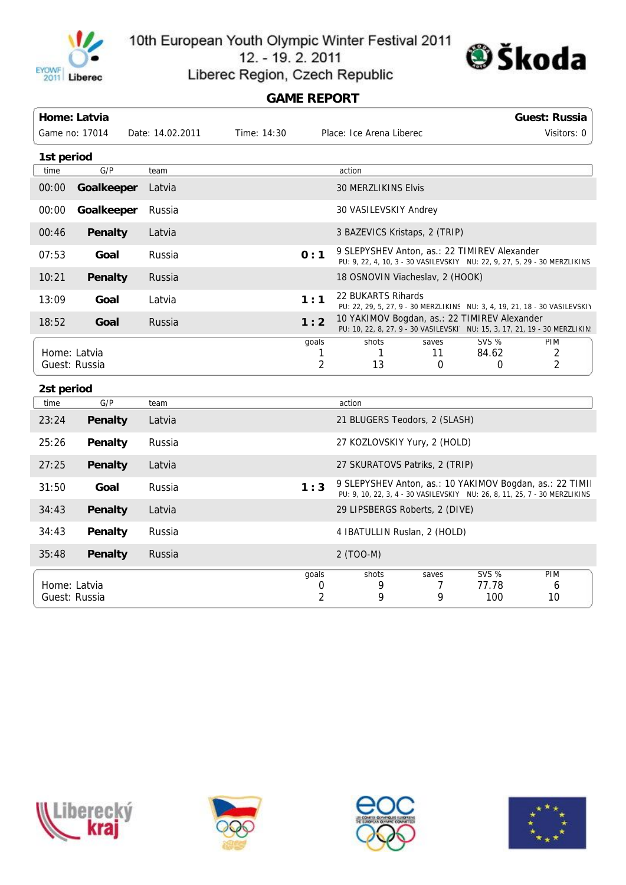

10th European Youth Olympic Winter Festival 2011





Liberec Region, Czech Republic

## **GAME REPORT**

|                               | Home: Latvia                                |                  |             |                              |                                                                                                                                       |                 |                       | <b>Guest: Russia</b>                                                        |  |  |
|-------------------------------|---------------------------------------------|------------------|-------------|------------------------------|---------------------------------------------------------------------------------------------------------------------------------------|-----------------|-----------------------|-----------------------------------------------------------------------------|--|--|
|                               | Game no: 17014                              | Date: 14.02.2011 | Time: 14:30 |                              | Place: Ice Arena Liberec                                                                                                              |                 |                       | Visitors: 0                                                                 |  |  |
| 1st period                    |                                             |                  |             |                              |                                                                                                                                       |                 |                       |                                                                             |  |  |
| time                          | G/P                                         | team             |             |                              | action                                                                                                                                |                 |                       |                                                                             |  |  |
| 00:00                         | Goalkeeper<br>Latvia<br>30 MERZLIKINS Elvis |                  |             |                              |                                                                                                                                       |                 |                       |                                                                             |  |  |
| 00:00                         | Goalkeeper                                  | Russia           |             |                              | 30 VASILEVSKIY Andrey                                                                                                                 |                 |                       |                                                                             |  |  |
| 00:46                         | Penalty                                     | Latvia           |             |                              | 3 BAZEVICS Kristaps, 2 (TRIP)                                                                                                         |                 |                       |                                                                             |  |  |
| 07:53                         | Goal                                        | Russia           |             | 0:1                          | 9 SLEPYSHEV Anton, as.: 22 TIMIREV Alexander<br>PU: 9, 22, 4, 10, 3 - 30 VASILEVSKIY NU: 22, 9, 27, 5, 29 - 30 MERZLIKINS             |                 |                       |                                                                             |  |  |
| 10:21                         | <b>Penalty</b>                              | Russia           |             |                              | 18 OSNOVIN Viacheslav, 2 (HOOK)                                                                                                       |                 |                       |                                                                             |  |  |
| 13:09                         | Goal                                        | Latvia           |             | 1:1                          | 22 BUKARTS Rihards<br>PU: 22, 29, 5, 27, 9 - 30 MERZLIKINS NU: 3, 4, 19, 21, 18 - 30 VASILEVSKIY                                      |                 |                       |                                                                             |  |  |
| 18:52                         | Goal                                        | Russia           |             | 1:2                          | 10 YAKIMOV Bogdan, as.: 22 TIMIREV Alexander                                                                                          |                 |                       | PU: 10, 22, 8, 27, 9 - 30 VASILEVSKI' NU: 15, 3, 17, 21, 19 - 30 MERZLIKIN! |  |  |
|                               | Home: Latvia                                |                  |             | goals<br>1                   | shots<br>1                                                                                                                            | saves<br>11     | <b>SVS %</b><br>84.62 | <b>PIM</b><br>2                                                             |  |  |
|                               | Guest: Russia                               |                  |             | $\overline{2}$               | 13                                                                                                                                    | 0               | 0                     | 2                                                                           |  |  |
| 2st period                    |                                             |                  |             |                              |                                                                                                                                       |                 |                       |                                                                             |  |  |
| time                          | G/P                                         | team             |             |                              | action                                                                                                                                |                 |                       |                                                                             |  |  |
| 23:24                         | Penalty                                     | Latvia           |             |                              | 21 BLUGERS Teodors, 2 (SLASH)                                                                                                         |                 |                       |                                                                             |  |  |
| 25:26                         | <b>Penalty</b>                              | Russia           |             |                              | 27 KOZLOVSKIY Yury, 2 (HOLD)                                                                                                          |                 |                       |                                                                             |  |  |
| 27:25                         | Penalty                                     | Latvia           |             |                              | 27 SKURATOVS Patriks, 2 (TRIP)                                                                                                        |                 |                       |                                                                             |  |  |
| 31:50                         | Goal                                        | Russia           |             | 1:3                          | 9 SLEPYSHEV Anton, as.: 10 YAKIMOV Bogdan, as.: 22 TIMII<br>PU: 9, 10, 22, 3, 4 - 30 VASILEVSKIY NU: 26, 8, 11, 25, 7 - 30 MERZLIKINS |                 |                       |                                                                             |  |  |
| 34:43                         | <b>Penalty</b>                              | Latvia           |             |                              | 29 LIPSBERGS Roberts, 2 (DIVE)                                                                                                        |                 |                       |                                                                             |  |  |
| 34:43                         | Penalty                                     | Russia           |             |                              | 4 IBATULLIN Ruslan, 2 (HOLD)                                                                                                          |                 |                       |                                                                             |  |  |
| 35:48                         | <b>Penalty</b>                              | Russia           |             |                              | 2 (TOO-M)                                                                                                                             |                 |                       |                                                                             |  |  |
| Home: Latvia<br>Guest: Russia |                                             |                  |             | qoals<br>0<br>$\overline{2}$ | shots<br>9<br>9                                                                                                                       | saves<br>7<br>9 | SVS %<br>77.78<br>100 | PIM<br>6<br>10                                                              |  |  |